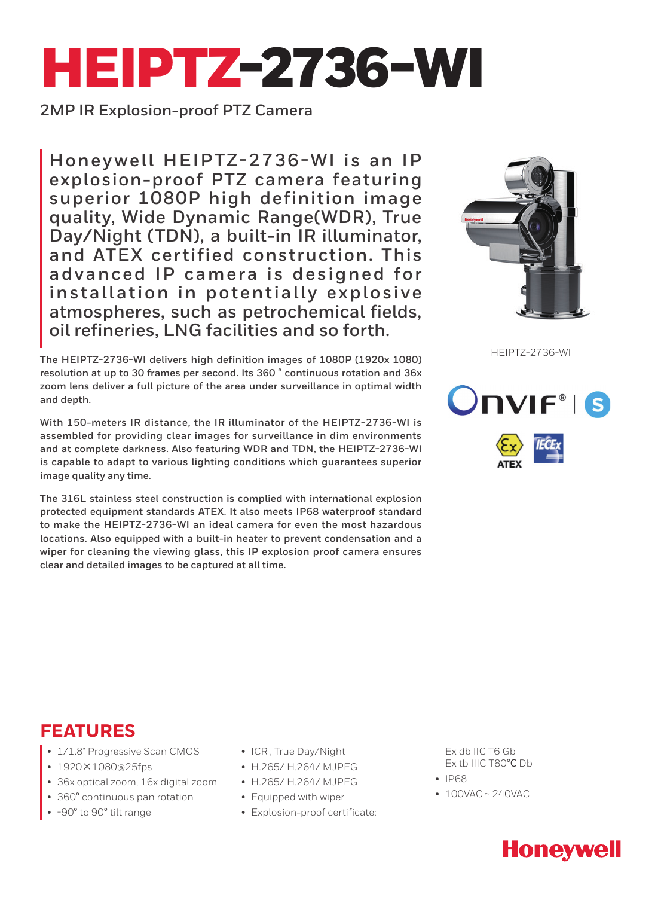# HEIPTZ-2736-WI

**2MP IR Explosion-proof PTZ Camera**

**Honey well HEIPTZ-2736-WI is an IP explosion-proof PTZ camera featuring superior 1080P high definition image quality, Wide Dynamic Range(WDR), True Day/Night (TDN), a built-in IR illuminator, and ATEX cer tified construction. This advanced IP camera is designed for install ation in potentially explosive atmospheres, such as petrochemical fields, oil refineries, LNG facilities and so forth.**

HEIPTZ-2736-WI **The HEIPTZ-2736-WI delivers high definition images of 1080P (1920x 1080) resolution at up to 30 frames per second. Its 360** ° **continuous rotation and 36x zoom lens deliver a full picture of the area under surveillance in optimal width and depth.**

**With 150-meters IR distance, the IR illuminator of the HEIPTZ-2736-WI is assembled for providing clear images for surveillance in dim environments and at complete darkness. Also featuring WDR and TDN, the HEIPTZ-2736-WI is capable to adapt to various lighting conditions which guarantees superior image quality any time.**

**The 316L stainless steel construction is complied with international explosion protected equipment standards ATEX. It also meets IP68 waterproof standard to make the HEIPTZ-2736-WI an ideal camera for even the most hazardous locations. Also equipped with a built-in heater to prevent condensation and a wiper for cleaning the viewing glass, this IP explosion proof camera ensures clear and detailed images to be captured at all time.**





## **FEATURES**

- 1/1.8" Progressive Scan CMOS
- 1920×1080@25fps
- 36x optical zoom, 16x digital zoom
- 360° continuous pan rotation
- -90° to 90° tilt range
- ICR , True Day/Night
- H.265/ H.264/ MJPEG
- H.265/ H.264/ MJPEG
- Equipped with wiper
- Explosion-proof certificate:

Ex db IIC T6 Gb Ex tb IIIC T80℃ Db

- IP68
- 100VAC ~ 240VAC

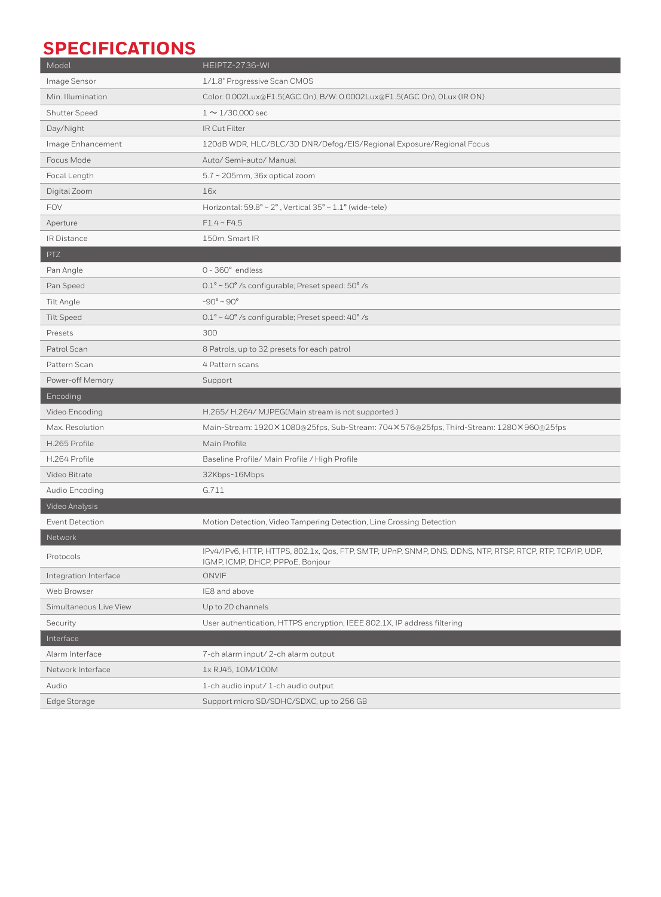## **SPECIFICATIONS**

| Model                  | HEIPTZ-2736-WI                                                                                                                                |
|------------------------|-----------------------------------------------------------------------------------------------------------------------------------------------|
| Image Sensor           | 1/1.8" Progressive Scan CMOS                                                                                                                  |
| Min. Illumination      | Color: 0.002Lux@F1.5(AGC On), B/W: 0.0002Lux@F1.5(AGC On), 0Lux (IR ON)                                                                       |
| Shutter Speed          | $1 \sim 1/30,000$ sec                                                                                                                         |
| Day/Night              | IR Cut Filter                                                                                                                                 |
| Image Enhancement      | 120dB WDR, HLC/BLC/3D DNR/Defog/EIS/Regional Exposure/Regional Focus                                                                          |
| Focus Mode             | Auto/ Semi-auto/ Manual                                                                                                                       |
| Focal Length           | 5.7 ~ 205mm, 36x optical zoom                                                                                                                 |
| Digital Zoom           | 16x                                                                                                                                           |
| <b>FOV</b>             | Horizontal: $59.8^{\circ} \sim 2^{\circ}$ , Vertical $35^{\circ} \sim 1.1^{\circ}$ (wide-tele)                                                |
| Aperture               | $F1.4 \sim F4.5$                                                                                                                              |
| IR Distance            | 150m, Smart IR                                                                                                                                |
| PTZ                    |                                                                                                                                               |
| Pan Angle              | $0 - 360^\circ$ endless                                                                                                                       |
| Pan Speed              | 0.1° ~ 50° /s configurable; Preset speed: 50° /s                                                                                              |
| Tilt Angle             | $-90^{\circ} \sim 90^{\circ}$                                                                                                                 |
| <b>Tilt Speed</b>      | $0.1^{\circ}$ ~ 40° /s configurable; Preset speed: 40° /s                                                                                     |
| Presets                | 300                                                                                                                                           |
| Patrol Scan            | 8 Patrols, up to 32 presets for each patrol                                                                                                   |
| Pattern Scan           | 4 Pattern scans                                                                                                                               |
| Power-off Memory       | Support                                                                                                                                       |
|                        |                                                                                                                                               |
| Encoding               |                                                                                                                                               |
| Video Encoding         | H.265/H.264/MJPEG(Main stream is not supported)                                                                                               |
| Max. Resolution        | Main-Stream: 1920×1080@25fps, Sub-Stream: 704×576@25fps, Third-Stream: 1280×960@25fps                                                         |
| H.265 Profile          | Main Profile                                                                                                                                  |
| H.264 Profile          | Baseline Profile/ Main Profile / High Profile                                                                                                 |
| Video Bitrate          | 32Kbps-16Mbps                                                                                                                                 |
| Audio Encoding         | G.711                                                                                                                                         |
| Video Analysis         |                                                                                                                                               |
| Event Detection        | Motion Detection, Video Tampering Detection, Line Crossing Detection                                                                          |
| Network                |                                                                                                                                               |
| Protocols              | IPv4/IPv6, HTTP, HTTPS, 802.1x, Qos, FTP, SMTP, UPnP, SNMP, DNS, DDNS, NTP, RTSP, RTCP, RTP, TCP/IP, UDP,<br>IGMP, ICMP, DHCP, PPPoE, Bonjour |
| Integration Interface  | ONVIF                                                                                                                                         |
| Web Browser            | IE8 and above                                                                                                                                 |
| Simultaneous Live View | Up to 20 channels                                                                                                                             |
| Security               | User authentication, HTTPS encryption, IEEE 802.1X, IP address filtering                                                                      |
| Interface              |                                                                                                                                               |
| Alarm Interface        | 7-ch alarm input/2-ch alarm output                                                                                                            |
| Network Interface      | 1x RJ45, 10M/100M                                                                                                                             |
| Audio                  | 1-ch audio input/1-ch audio output                                                                                                            |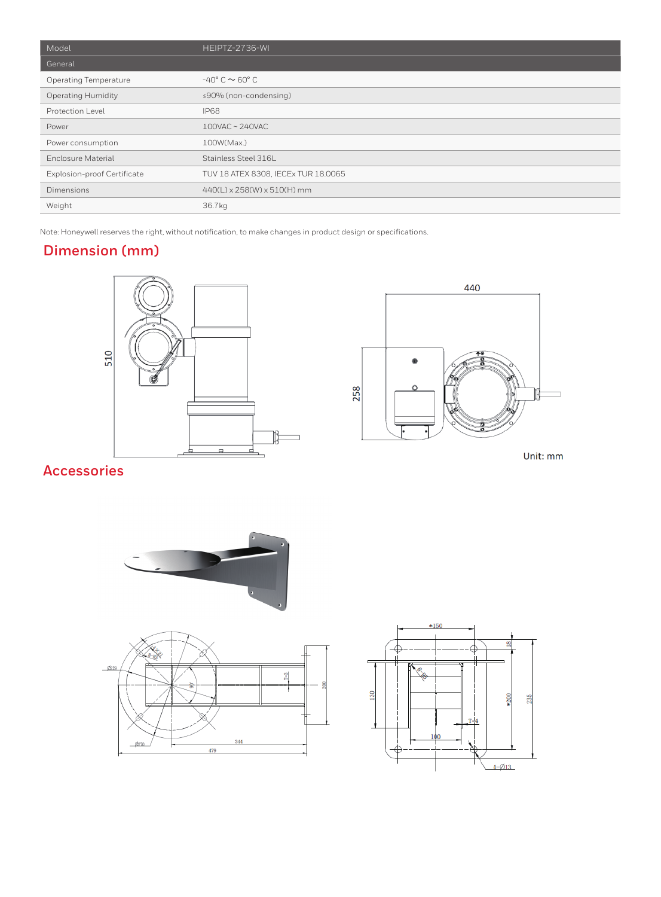| Model                        | HEIPTZ-2736-WI                         |
|------------------------------|----------------------------------------|
| General                      |                                        |
| <b>Operating Temperature</b> | $-40^{\circ}$ C $\sim$ 60 $^{\circ}$ C |
| <b>Operating Humidity</b>    | ≤90% (non-condensing)                  |
| Protection Level             | <b>IP68</b>                            |
| Power                        | 100VAC~240VAC                          |
| Power consumption            | 100W(Max.)                             |
| Enclosure Material           | Stainless Steel 316L                   |
| Explosion-proof Certificate  | TUV 18 ATEX 8308, IECEx TUR 18.0065    |
| Dimensions                   | 440(L) x 258(W) x 510(H) mm            |
| Weight                       | 36.7kg                                 |

Note: Honeywell reserves the right, without notification, to make changes in product design or specifications.

#### **Dimension (mm)**





Unit: mm

### **Accessories**